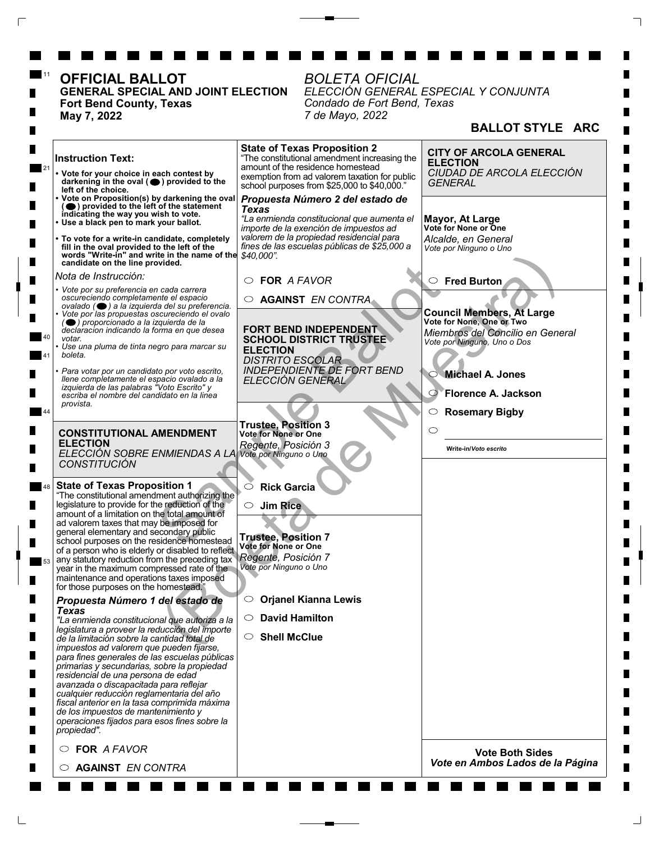| <b>OFFICIAL BALLOT</b><br><b>GENERAL SPECIAL AND JOINT ELECTION</b><br>Fort Bend County, Texas<br>May 7, 2022                                                                                                                                                                                                                                                                                                                                                                                                                                                                                                                     | <b>BOLETA OFICIAL</b><br>Condado de Fort Bend, Texas<br>7 de Mayo, 2022                                                                                                                                                              | ELECCIÓN GENERAL ESPECIAL Y CONJUNTA                                                                                                                         |
|-----------------------------------------------------------------------------------------------------------------------------------------------------------------------------------------------------------------------------------------------------------------------------------------------------------------------------------------------------------------------------------------------------------------------------------------------------------------------------------------------------------------------------------------------------------------------------------------------------------------------------------|--------------------------------------------------------------------------------------------------------------------------------------------------------------------------------------------------------------------------------------|--------------------------------------------------------------------------------------------------------------------------------------------------------------|
|                                                                                                                                                                                                                                                                                                                                                                                                                                                                                                                                                                                                                                   |                                                                                                                                                                                                                                      | <b>BALLOT STYLE ARC</b>                                                                                                                                      |
| <b>Instruction Text:</b><br>• Vote for your choice in each contest by<br>darkening in the oval $($ <sup>o</sup> ) provided to the<br>left of the choice.                                                                                                                                                                                                                                                                                                                                                                                                                                                                          | <b>State of Texas Proposition 2</b><br>"The constitutional amendment increasing the<br>amount of the residence homestead<br>exemption from ad valorem taxation for public<br>school purposes from \$25,000 to \$40,000."             | <b>CITY OF ARCOLA GENERAL</b><br><b>ELECTION</b><br>CIUDAD DE ARCOLA ELECCIÓN<br><b>GENERAL</b>                                                              |
| • Vote on Proposition(s) by darkening the oval<br>(O) provided to the left of the statement<br>indicating the way you wish to vote.<br>· Use a black pen to mark your ballot.<br>• To vote for a write-in candidate, completely<br>fill in the oval provided to the left of the<br>words "Write-in" and write in the name of the \$40,000".<br>candidate on the line provided.                                                                                                                                                                                                                                                    | Propuesta Número 2 del estado de<br><b>Texas</b><br>"La enmienda constitucional que aumenta el<br>importe de la exención de impuestos ad<br>valorem de la propiedad residencial para<br>fines de las escuelas públicas de \$25,000 a | Mayor, At Large<br>Vote for None or One<br>Alcalde, en General<br>Vote por Ninguno o Uno                                                                     |
| Nota de Instrucción:<br>• Vote por su preferencia en cada carrera<br>oscureciendo completamente el espacio<br>ovalado (·) a la izquierda del su preferencia.<br>• Vote por las propuestas oscureciendo el ovalo<br>$\left(\bigcirc\right)$ proporcionado a la izquierda de la                                                                                                                                                                                                                                                                                                                                                     | $\circ$ FOR A FAVOR<br><b>AGAINST EN CONTRA</b><br>$\circ$                                                                                                                                                                           | $\circ$ Fred Burton<br><b>Council Members, At Large</b><br>Vote for None, One or Two                                                                         |
| declaracion indicando la forma en que desea<br>votar.<br>• Use una pluma de tinta negro para marcar su<br>boleta.<br>· Para votar por un candidato por voto escrito,<br>llene completamente el espacio ovalado a la<br>izquierda de las palabras "Voto Escrito" y<br>escriba el nombre del candidato en la linea<br>provista.                                                                                                                                                                                                                                                                                                     | FORT BEND INDEPENDENT<br><b>SCHOOL DISTRICT TRUSTEE</b><br><b>ELECTION</b><br><b>DISTRITO ESCOLAR</b><br><b>INDEPENDIENTE DE FORT BEND</b><br>ELECCIÓN GENERAL                                                                       | Miembros del Concilio en General<br>Vote por Ninguno, Uno o Dos<br>Michael A. Jones<br>Florence A. Jackson<br>$\bigcirc$<br><b>Rosemary Bigby</b><br>$\circ$ |
| <b>CONSTITUTIONAL AMENDMENT</b><br><b>ELECTION</b><br>ELECCIÓN SOBRE ENMIENDAS A LA Vote por Ninguno o Uno<br><b>CONSTITUCIÓN</b>                                                                                                                                                                                                                                                                                                                                                                                                                                                                                                 | <b>Trustee, Position 3</b><br><b>Vote for None or One</b><br>Regente, Posición 3                                                                                                                                                     | O<br>Write-in/Voto escrito                                                                                                                                   |
| <b>State of Texas Proposition 1</b><br>"The constitutional amendment authorizing the<br>legislature to provide for the reduction of the<br>amount of a limitation on the total amount of<br>ad valorem taxes that may be imposed for<br>general elementary and secondary public<br>school purposes on the residence homestead<br>of a person who is elderly or disabled to reflect<br>any statutory reduction from the preceding tax<br>year in the maximum compressed rate of the<br>maintenance and operations taxes imposed<br>for those purposes on the homestead."                                                           | <b>Rick Garcia</b><br>O<br><b>Jim Rice</b><br>$\circ$<br><b>Trustee, Position 7</b><br>Vote for None or One<br>Regente, Posición 7<br>Vote por Ninguno o Uno                                                                         |                                                                                                                                                              |
| Propuesta Número 1 del estado de<br><b>Texas</b><br>"La enmienda constitucional que autoriza a la<br>legislatura a proveer la reducción del importe<br>de la limitación sobre la cantidad total de<br>impuestos ad valorem que pueden fijarse,<br>para fines generales de las escuelas públicas<br>primarias y secundarias, sobre la propiedad<br>residencial de una persona de edad<br>avanzada o discapacitada para reflejar<br>cualquier reducción reglamentaria del año<br>fiscal anterior en la tasa comprimida máxima<br>de los impuestos de mantenimiento y<br>operaciones fijados para esos fines sobre la<br>propiedad". | <b>Orjanel Kianna Lewis</b><br>$\circ$<br><b>David Hamilton</b><br>$\circ$<br><b>Shell McClue</b><br>○                                                                                                                               |                                                                                                                                                              |
| $\circ$ FOR A FAVOR<br><b>AGAINST EN CONTRA</b>                                                                                                                                                                                                                                                                                                                                                                                                                                                                                                                                                                                   |                                                                                                                                                                                                                                      | <b>Vote Both Sides</b><br>Vote en Ambos Lados de la Página                                                                                                   |

 $\sqsubseteq$ 

 $\overline{\Gamma}$ 

 $\begin{array}{c} \begin{array}{c} \mathbf{1} \end{array} \end{array}$